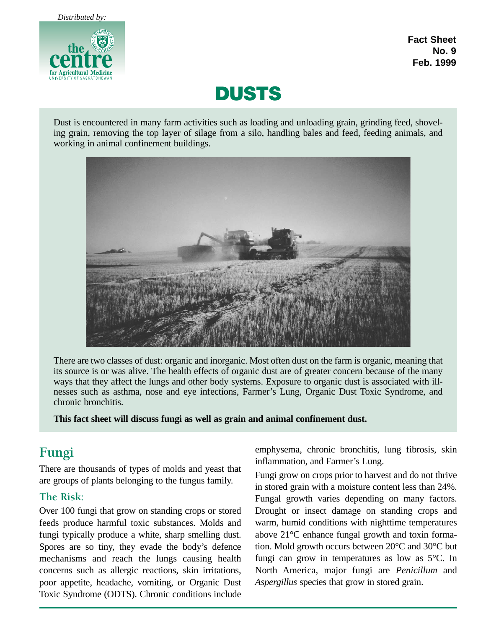

**Fact Sheet No. 9 Feb. 1999**



Dust is encountered in many farm activities such as loading and unloading grain, grinding feed, shoveling grain, removing the top layer of silage from a silo, handling bales and feed, feeding animals, and working in animal confinement buildings.



There are two classes of dust: organic and inorganic. Most often dust on the farm is organic, meaning that its source is or was alive. The health effects of organic dust are of greater concern because of the many ways that they affect the lungs and other body systems. Exposure to organic dust is associated with illnesses such as asthma, nose and eye infections, Farmer's Lung, Organic Dust Toxic Syndrome, and chronic bronchitis.

**This fact sheet will discuss fungi as well as grain and animal confinement dust.**

# **Fungi**

There are thousands of types of molds and yeast that are groups of plants belonging to the fungus family.

## **The Risk:**

Over 100 fungi that grow on standing crops or stored feeds produce harmful toxic substances. Molds and fungi typically produce a white, sharp smelling dust. Spores are so tiny, they evade the body's defence mechanisms and reach the lungs causing health concerns such as allergic reactions, skin irritations, poor appetite, headache, vomiting, or Organic Dust Toxic Syndrome (ODTS). Chronic conditions include emphysema, chronic bronchitis, lung fibrosis, skin inflammation, and Farmer's Lung.

Fungi grow on crops prior to harvest and do not thrive in stored grain with a moisture content less than 24%. Fungal growth varies depending on many factors. Drought or insect damage on standing crops and warm, humid conditions with nighttime temperatures above 21°C enhance fungal growth and toxin formation. Mold growth occurs between 20°C and 30°C but fungi can grow in temperatures as low as 5°C. In North America, major fungi are *Penicillum* and *Aspergillus* species that grow in stored grain.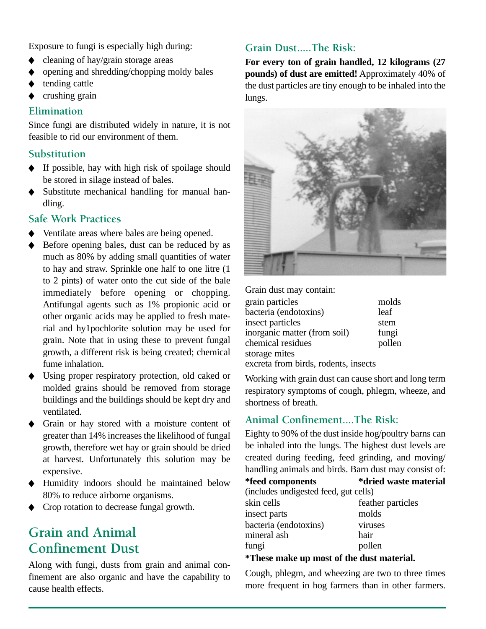Exposure to fungi is especially high during:

- ◆ cleaning of hay/grain storage areas
- ◆ opening and shredding/chopping moldy bales
- tending cattle
- ◆ crushing grain

#### **Elimination**

Since fungi are distributed widely in nature, it is not feasible to rid our environment of them.

#### **Substitution**

- ◆ If possible, hay with high risk of spoilage should be stored in silage instead of bales.
- ◆ Substitute mechanical handling for manual handling.

#### **Safe Work Practices**

- Ventilate areas where bales are being opened.
- Before opening bales, dust can be reduced by as much as 80% by adding small quantities of water to hay and straw. Sprinkle one half to one litre (1 to 2 pints) of water onto the cut side of the bale immediately before opening or chopping. Antifungal agents such as 1% propionic acid or other organic acids may be applied to fresh material and hy1pochlorite solution may be used for grain. Note that in using these to prevent fungal growth, a different risk is being created; chemical fume inhalation.
- Using proper respiratory protection, old caked or molded grains should be removed from storage buildings and the buildings should be kept dry and ventilated.
- Grain or hay stored with a moisture content of greater than 14% increases the likelihood of fungal growth, therefore wet hay or grain should be dried at harvest. Unfortunately this solution may be expensive.
- ◆ Humidity indoors should be maintained below 80% to reduce airborne organisms.
- ◆ Crop rotation to decrease fungal growth.

# **Grain and Animal Confinement Dust**

Along with fungi, dusts from grain and animal confinement are also organic and have the capability to cause health effects.

# **Grain Dust.....The Risk:**

**For every ton of grain handled, 12 kilograms (27 pounds) of dust are emitted!** Approximately 40% of the dust particles are tiny enough to be inhaled into the lungs.



Grain dust may contain:

| grain particles                      | molds  |
|--------------------------------------|--------|
| bacteria (endotoxins)                | leaf   |
| insect particles                     | stem   |
| inorganic matter (from soil)         | fungi  |
| chemical residues                    | pollen |
| storage mites                        |        |
| excreta from birds, rodents, insects |        |

Working with grain dust can cause short and long term respiratory symptoms of cough, phlegm, wheeze, and shortness of breath.

# **Animal Confinement....The Risk:**

Eighty to 90% of the dust inside hog/poultry barns can be inhaled into the lungs. The highest dust levels are created during feeding, feed grinding, and moving/ handling animals and birds. Barn dust may consist of:

**\*feed components \*dried waste material** (includes undigested feed, gut cells) skin cells feather particles insect parts molds bacteria (endotoxins) viruses mineral ash hair fungi pollen

#### **\*These make up most of the dust material.**

Cough, phlegm, and wheezing are two to three times more frequent in hog farmers than in other farmers.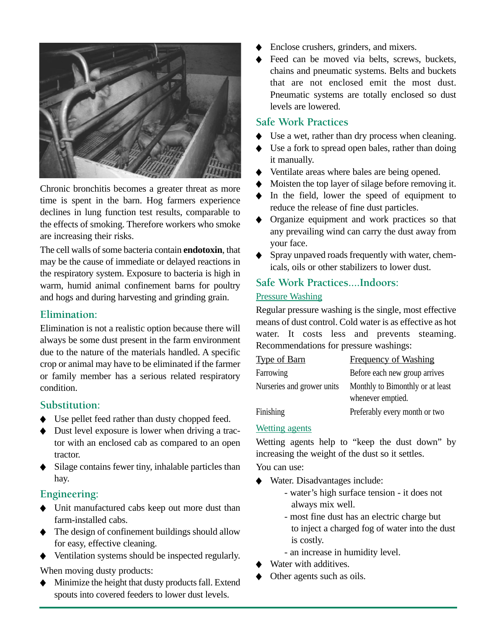

Chronic bronchitis becomes a greater threat as more time is spent in the barn. Hog farmers experience declines in lung function test results, comparable to the effects of smoking. Therefore workers who smoke are increasing their risks.

The cell walls of some bacteria contain **endotoxin**, that may be the cause of immediate or delayed reactions in the respiratory system. Exposure to bacteria is high in warm, humid animal confinement barns for poultry and hogs and during harvesting and grinding grain.

## **Elimination:**

Elimination is not a realistic option because there will always be some dust present in the farm environment due to the nature of the materials handled. A specific crop or animal may have to be eliminated if the farmer or family member has a serious related respiratory condition.

## **Substitution:**

- ◆ Use pellet feed rather than dusty chopped feed.
- ◆ Dust level exposure is lower when driving a tractor with an enclosed cab as compared to an open tractor.
- ◆ Silage contains fewer tiny, inhalable particles than hay.

## **Engineering:**

- ◆ Unit manufactured cabs keep out more dust than farm-installed cabs.
- ◆ The design of confinement buildings should allow for easy, effective cleaning.
- ◆ Ventilation systems should be inspected regularly.

When moving dusty products:

◆ Minimize the height that dusty products fall. Extend spouts into covered feeders to lower dust levels.

- Enclose crushers, grinders, and mixers.
- ◆ Feed can be moved via belts, screws, buckets, chains and pneumatic systems. Belts and buckets that are not enclosed emit the most dust. Pneumatic systems are totally enclosed so dust levels are lowered.

## **Safe Work Practices**

- ◆ Use a wet, rather than dry process when cleaning.
- ◆ Use a fork to spread open bales, rather than doing it manually.
- ◆ Ventilate areas where bales are being opened.
- Moisten the top layer of silage before removing it.
- In the field, lower the speed of equipment to reduce the release of fine dust particles.
- Organize equipment and work practices so that any prevailing wind can carry the dust away from your face.
- ◆ Spray unpaved roads frequently with water, chemicals, oils or other stabilizers to lower dust.

# **Safe Work Practices....Indoors:**

## Pressure Washing

Regular pressure washing is the single, most effective means of dust control. Cold water is as effective as hot water. It costs less and prevents steaming. Recommendations for pressure washings:

| <b>Type of Barn</b>        | <b>Frequency of Washing</b>      |
|----------------------------|----------------------------------|
| Farrowing                  | Before each new group arrives    |
| Nurseries and grower units | Monthly to Bimonthly or at least |
|                            | whenever emptied.                |
| Finishing                  | Preferably every month or two    |

## Wetting agents

Wetting agents help to "keep the dust down" by increasing the weight of the dust so it settles.

You can use:

- Water. Disadvantages include:
	- water's high surface tension it does not always mix well.
	- most fine dust has an electric charge but to inject a charged fog of water into the dust is costly.
	- an increase in humidity level.
- Water with additives.
- Other agents such as oils.